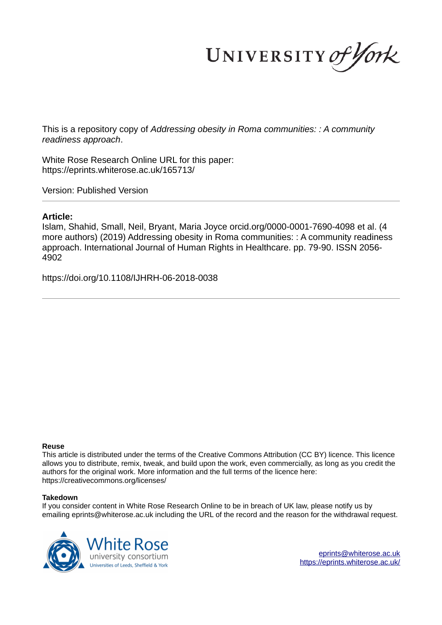UNIVERSITY of York

This is a repository copy of *Addressing obesity in Roma communities: : A community readiness approach*.

White Rose Research Online URL for this paper: https://eprints.whiterose.ac.uk/165713/

Version: Published Version

# **Article:**

Islam, Shahid, Small, Neil, Bryant, Maria Joyce orcid.org/0000-0001-7690-4098 et al. (4 more authors) (2019) Addressing obesity in Roma communities: : A community readiness approach. International Journal of Human Rights in Healthcare. pp. 79-90. ISSN 2056- 4902

https://doi.org/10.1108/IJHRH-06-2018-0038

# **Reuse**

This article is distributed under the terms of the Creative Commons Attribution (CC BY) licence. This licence allows you to distribute, remix, tweak, and build upon the work, even commercially, as long as you credit the authors for the original work. More information and the full terms of the licence here: https://creativecommons.org/licenses/

# **Takedown**

If you consider content in White Rose Research Online to be in breach of UK law, please notify us by emailing eprints@whiterose.ac.uk including the URL of the record and the reason for the withdrawal request.

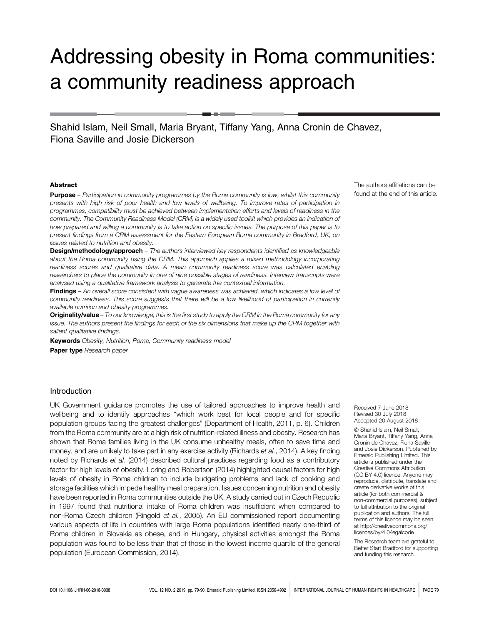# Addressing obesity in Roma communities: a community readiness approach

Shahid Islam, Neil Small, Maria Bryant, Tiffany Yang, Anna Cronin de Chavez, Fiona Saville and Josie Dickerson

#### Abstract

Purpose – *Participation in community programmes by the Roma community is low, whilst this community presents with high risk of poor health and low levels of wellbeing. To improve rates of participation in programmes, compatibility must be achieved between implementation efforts and levels of readiness in the community. The Community Readiness Model (CRM) is a widely used toolkit which provides an indication of how prepared and willing a community is to take action on specific issues. The purpose of this paper is to present findings from a CRM assessment for the Eastern European Roma community in Bradford, UK, on issues related to nutrition and obesity.*

Design/methodology/approach – *The authors interviewed key respondents identified as knowledgeable about the Roma community using the CRM. This approach applies a mixed methodology incorporating readiness scores and qualitative data. A mean community readiness score was calculated enabling researchers to place the community in one of nine possible stages of readiness. Interview transcripts were analysed using a qualitative framework analysis to generate the contextual information.*

Findings – *An overall score consistent with vague awareness was achieved, which indicates a low level of community readiness. This score suggests that there will be a low likelihood of participation in currently available nutrition and obesity programmes.*

Originality/value – *To our knowledge, this is the first study to apply the CRM in the Roma community for any issue. The authors present the findings for each of the six dimensions that make up the CRM together with salient qualitative findings.*

Keywords *Obesity, Nutrition, Roma, Community readiness model* Paper type *Research paper*

#### Introduction

UK Government guidance promotes the use of tailored approaches to improve health and wellbeing and to identify approaches "which work best for local people and for specific population groups facing the greatest challenges" (Department of Health, 2011, p. 6). Children from the Roma community are at a high risk of nutrition-related illness and obesity. Research has shown that Roma families living in the UK consume unhealthy meals, often to save time and money, and are unlikely to take part in any exercise activity (Richards *et al.*, 2014). A key finding noted by Richards *et al.* (2014) described cultural practices regarding food as a contributory factor for high levels of obesity. Loring and Robertson (2014) highlighted causal factors for high levels of obesity in Roma children to include budgeting problems and lack of cooking and storage facilities which impede healthy meal preparation. Issues concerning nutrition and obesity have been reported in Roma communities outside the UK. A study carried out in Czech Republic in 1997 found that nutritional intake of Roma children was insufficient when compared to non-Roma Czech children (Ringold *et al.*, 2005). An EU commissioned report documenting various aspects of life in countries with large Roma populations identified nearly one-third of Roma children in Slovakia as obese, and in Hungary, physical activities amongst the Roma population was found to be less than that of those in the lowest income quartile of the general population (European Commission, 2014).

The authors affiliations can be found at the end of this article.

Received 7 June 2018 Revised 30 July 2018 Accepted 20 August 2018

© Shahid Islam, Neil Small, Maria Bryant, Tiffany Yang, Anna Cronin de Chavez, Fiona Saville and Josie Dickerson. Published by Emerald Publishing Limited. This article is published under the Creative Commons Attribution (CC BY 4.0) licence. Anyone may reproduce, distribute, translate and create derivative works of this article (for both commercial & non-commercial purposes), subject to full attribution to the original publication and authors. The full terms of this licence may be seen at http://creativecommons.org/ licences/by/4.0/legalcode

The Research team are grateful to Better Start Bradford for supporting and funding this research.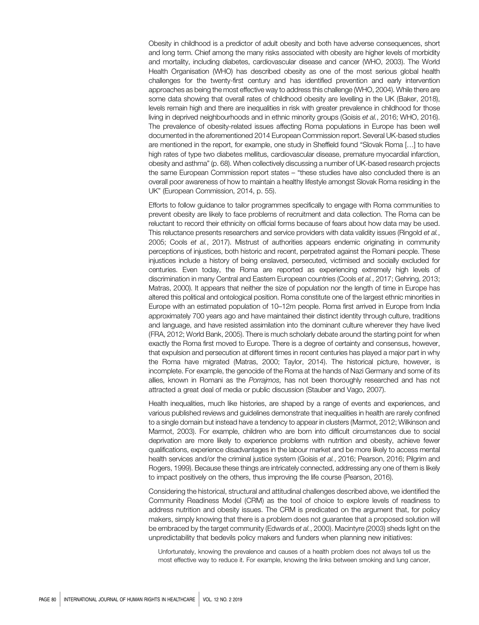Obesity in childhood is a predictor of adult obesity and both have adverse consequences, short and long term. Chief among the many risks associated with obesity are higher levels of morbidity and mortality, including diabetes, cardiovascular disease and cancer (WHO, 2003). The World Health Organisation (WHO) has described obesity as one of the most serious global health challenges for the twenty-first century and has identified prevention and early intervention approaches as being the most effective way to address this challenge (WHO, 2004). While there are some data showing that overall rates of childhood obesity are levelling in the UK (Baker, 2018), levels remain high and there are inequalities in risk with greater prevalence in childhood for those living in deprived neighbourhoods and in ethnic minority groups (Goisis *et al.*, 2016; WHO, 2016). The prevalence of obesity-related issues affecting Roma populations in Europe has been well documented in the aforementioned 2014 European Commission report. Several UK-based studies are mentioned in the report, for example, one study in Sheffield found "Slovak Roma […] to have high rates of type two diabetes mellitus, cardiovascular disease, premature myocardial infarction, obesity and asthma" (p. 68). When collectively discussing a number of UK-based research projects the same European Commission report states – "these studies have also concluded there is an overall poor awareness of how to maintain a healthy lifestyle amongst Slovak Roma residing in the UK" (European Commission, 2014, p. 55).

Efforts to follow guidance to tailor programmes specifically to engage with Roma communities to prevent obesity are likely to face problems of recruitment and data collection. The Roma can be reluctant to record their ethnicity on official forms because of fears about how data may be used. This reluctance presents researchers and service providers with data validity issues (Ringold *et al.*, 2005; Cools *et al.*, 2017). Mistrust of authorities appears endemic originating in community perceptions of injustices, both historic and recent, perpetrated against the Romani people. These injustices include a history of being enslaved, persecuted, victimised and socially excluded for centuries. Even today, the Roma are reported as experiencing extremely high levels of discrimination in many Central and Eastern European countries (Cools *et al.*, 2017; Gehring, 2013; Matras, 2000). It appears that neither the size of population nor the length of time in Europe has altered this political and ontological position. Roma constitute one of the largest ethnic minorities in Europe with an estimated population of 10–12m people. Roma first arrived in Europe from India approximately 700 years ago and have maintained their distinct identity through culture, traditions and language, and have resisted assimilation into the dominant culture wherever they have lived (FRA, 2012; World Bank, 2005). There is much scholarly debate around the starting point for when exactly the Roma first moved to Europe. There is a degree of certainty and consensus, however, that expulsion and persecution at different times in recent centuries has played a major part in why the Roma have migrated (Matras, 2000; Taylor, 2014). The historical picture, however, is incomplete. For example, the genocide of the Roma at the hands of Nazi Germany and some of its allies, known in Romani as the *Porrajmos,* has not been thoroughly researched and has not attracted a great deal of media or public discussion (Stauber and Vago, 2007).

Health inequalities, much like histories, are shaped by a range of events and experiences, and various published reviews and guidelines demonstrate that inequalities in health are rarely confined to a single domain but instead have a tendency to appear in clusters (Marmot, 2012; Wilkinson and Marmot, 2003). For example, children who are born into difficult circumstances due to social deprivation are more likely to experience problems with nutrition and obesity, achieve fewer qualifications, experience disadvantages in the labour market and be more likely to access mental health services and/or the criminal justice system (Goisis *et al.*, 2016; Pearson, 2016; Pilgrim and Rogers, 1999). Because these things are intricately connected, addressing any one of them is likely to impact positively on the others, thus improving the life course (Pearson, 2016).

Considering the historical, structural and attitudinal challenges described above, we identified the Community Readiness Model (CRM) as the tool of choice to explore levels of readiness to address nutrition and obesity issues. The CRM is predicated on the argument that, for policy makers, simply knowing that there is a problem does not guarantee that a proposed solution will be embraced by the target community (Edwards *et al.*, 2000). Macintyre (2003) sheds light on the unpredictability that bedevils policy makers and funders when planning new initiatives:

Unfortunately, knowing the prevalence and causes of a health problem does not always tell us the most effective way to reduce it. For example, knowing the links between smoking and lung cancer,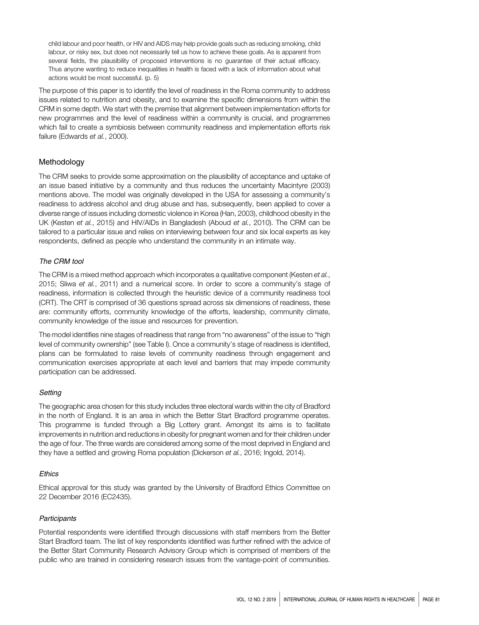child labour and poor health, or HIV and AIDS may help provide goals such as reducing smoking, child labour, or risky sex, but does not necessarily tell us how to achieve these goals. As is apparent from several fields, the plausibility of proposed interventions is no guarantee of their actual efficacy. Thus anyone wanting to reduce inequalities in health is faced with a lack of information about what actions would be most successful. (p. 5)

The purpose of this paper is to identify the level of readiness in the Roma community to address issues related to nutrition and obesity, and to examine the specific dimensions from within the CRM in some depth. We start with the premise that alignment between implementation efforts for new programmes and the level of readiness within a community is crucial, and programmes which fail to create a symbiosis between community readiness and implementation efforts risk failure (Edwards *et al.*, 2000).

# Methodology

The CRM seeks to provide some approximation on the plausibility of acceptance and uptake of an issue based initiative by a community and thus reduces the uncertainty Macintyre (2003) mentions above. The model was originally developed in the USA for assessing a community's readiness to address alcohol and drug abuse and has, subsequently, been applied to cover a diverse range of issues including domestic violence in Korea (Han, 2003), childhood obesity in the UK (Kesten *et al.*, 2015) and HIV/AIDs in Bangladesh (Aboud *et al.*, 2010). The CRM can be tailored to a particular issue and relies on interviewing between four and six local experts as key respondents, defined as people who understand the community in an intimate way.

# The CRM tool

The CRM is a mixed method approach which incorporates a qualitative component (Kesten *et al.*, 2015; Sliwa *et al.*, 2011) and a numerical score. In order to score a community's stage of readiness, information is collected through the heuristic device of a community readiness tool (CRT). The CRT is comprised of 36 questions spread across six dimensions of readiness, these are: community efforts, community knowledge of the efforts, leadership, community climate, community knowledge of the issue and resources for prevention.

The model identifies nine stages of readiness that range from "no awareness" of the issue to "high level of community ownership" (see Table I). Once a community's stage of readiness is identified, plans can be formulated to raise levels of community readiness through engagement and communication exercises appropriate at each level and barriers that may impede community participation can be addressed.

# **Setting**

The geographic area chosen for this study includes three electoral wards within the city of Bradford in the north of England. It is an area in which the Better Start Bradford programme operates. This programme is funded through a Big Lottery grant. Amongst its aims is to facilitate improvements in nutrition and reductions in obesity for pregnant women and for their children under the age of four. The three wards are considered among some of the most deprived in England and they have a settled and growing Roma population (Dickerson *et al.*, 2016; Ingold, 2014).

# **Ethics**

Ethical approval for this study was granted by the University of Bradford Ethics Committee on 22 December 2016 (EC2435).

# **Participants**

Potential respondents were identified through discussions with staff members from the Better Start Bradford team. The list of key respondents identified was further refined with the advice of the Better Start Community Research Advisory Group which is comprised of members of the public who are trained in considering research issues from the vantage-point of communities.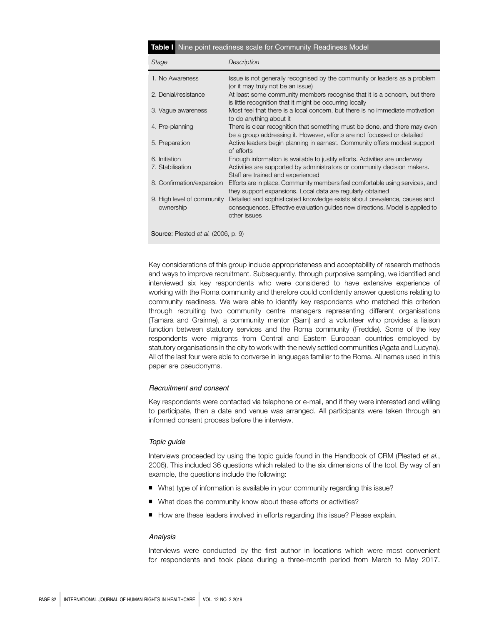| <b>Table I</b> Nine point readiness scale for Community Readiness Model |                                                                                                                                                                           |  |  |  |  |  |
|-------------------------------------------------------------------------|---------------------------------------------------------------------------------------------------------------------------------------------------------------------------|--|--|--|--|--|
| Stage                                                                   | Description                                                                                                                                                               |  |  |  |  |  |
| 1. No Awareness                                                         | Issue is not generally recognised by the community or leaders as a problem<br>(or it may truly not be an issue)                                                           |  |  |  |  |  |
| 2. Denial/resistance                                                    | At least some community members recognise that it is a concern, but there<br>is little recognition that it might be occurring locally                                     |  |  |  |  |  |
| 3. Vague awareness                                                      | Most feel that there is a local concern, but there is no immediate motivation<br>to do anything about it                                                                  |  |  |  |  |  |
| 4. Pre-planning                                                         | There is clear recognition that something must be done, and there may even<br>be a group addressing it. However, efforts are not focussed or detailed                     |  |  |  |  |  |
| 5. Preparation                                                          | Active leaders begin planning in earnest. Community offers modest support<br>of efforts                                                                                   |  |  |  |  |  |
| 6. Initiation                                                           | Enough information is available to justify efforts. Activities are underway                                                                                               |  |  |  |  |  |
| 7. Stabilisation                                                        | Activities are supported by administrators or community decision makers.<br>Staff are trained and experienced                                                             |  |  |  |  |  |
| 8. Confirmation/expansion                                               | Efforts are in place. Community members feel comfortable using services, and<br>they support expansions. Local data are regularly obtained                                |  |  |  |  |  |
| 9. High level of community<br>ownership                                 | Detailed and sophisticated knowledge exists about prevalence, causes and<br>consequences. Effective evaluation guides new directions. Model is applied to<br>other issues |  |  |  |  |  |
| Source: Plested et al. (2006, p. 9)                                     |                                                                                                                                                                           |  |  |  |  |  |

Key considerations of this group include appropriateness and acceptability of research methods and ways to improve recruitment. Subsequently, through purposive sampling, we identified and interviewed six key respondents who were considered to have extensive experience of working with the Roma community and therefore could confidently answer questions relating to community readiness. We were able to identify key respondents who matched this criterion through recruiting two community centre managers representing different organisations (Tamara and Grainne), a community mentor (Sam) and a volunteer who provides a liaison function between statutory services and the Roma community (Freddie). Some of the key respondents were migrants from Central and Eastern European countries employed by statutory organisations in the city to work with the newly settled communities (Agata and Lucyna). All of the last four were able to converse in languages familiar to the Roma. All names used in this paper are pseudonyms.

# Recruitment and consent

Key respondents were contacted via telephone or e-mail, and if they were interested and willing to participate, then a date and venue was arranged. All participants were taken through an informed consent process before the interview.

#### Topic guide

Interviews proceeded by using the topic guide found in the Handbook of CRM (Plested *et al.*, 2006). This included 36 questions which related to the six dimensions of the tool. By way of an example, the questions include the following:

- What type of information is available in your community regarding this issue?
- What does the community know about these efforts or activities?
- How are these leaders involved in efforts regarding this issue? Please explain.

#### Analysis

Interviews were conducted by the first author in locations which were most convenient for respondents and took place during a three-month period from March to May 2017.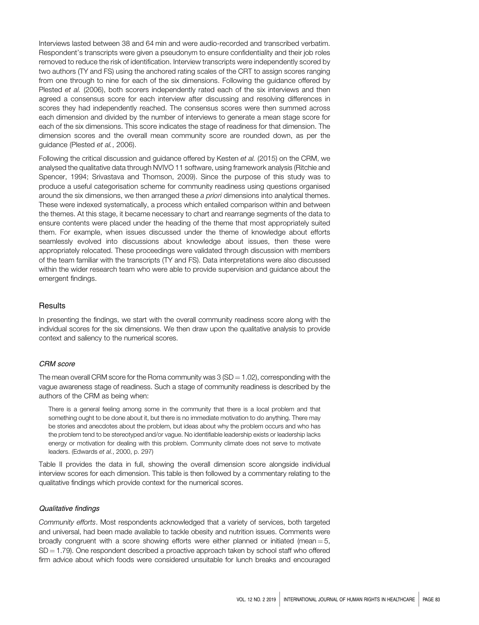Interviews lasted between 38 and 64 min and were audio-recorded and transcribed verbatim. Respondent's transcripts were given a pseudonym to ensure confidentiality and their job roles removed to reduce the risk of identification. Interview transcripts were independently scored by two authors (TY and FS) using the anchored rating scales of the CRT to assign scores ranging from one through to nine for each of the six dimensions. Following the guidance offered by Plested *et al.* (2006), both scorers independently rated each of the six interviews and then agreed a consensus score for each interview after discussing and resolving differences in scores they had independently reached. The consensus scores were then summed across each dimension and divided by the number of interviews to generate a mean stage score for each of the six dimensions. This score indicates the stage of readiness for that dimension. The dimension scores and the overall mean community score are rounded down, as per the guidance (Plested *et al.*, 2006).

Following the critical discussion and guidance offered by Kesten *et al.* (2015) on the CRM, we analysed the qualitative data through NVIVO 11 software, using framework analysis (Ritchie and Spencer, 1994; Srivastava and Thomson, 2009). Since the purpose of this study was to produce a useful categorisation scheme for community readiness using questions organised around the six dimensions, we then arranged these *a priori* dimensions into analytical themes. These were indexed systematically, a process which entailed comparison within and between the themes. At this stage, it became necessary to chart and rearrange segments of the data to ensure contents were placed under the heading of the theme that most appropriately suited them. For example, when issues discussed under the theme of knowledge about efforts seamlessly evolved into discussions about knowledge about issues, then these were appropriately relocated. These proceedings were validated through discussion with members of the team familiar with the transcripts (TY and FS). Data interpretations were also discussed within the wider research team who were able to provide supervision and guidance about the emergent findings.

# **Results**

In presenting the findings, we start with the overall community readiness score along with the individual scores for the six dimensions. We then draw upon the qualitative analysis to provide context and saliency to the numerical scores.

# CRM score

The mean overall CRM score for the Roma community was  $3(SD = 1.02)$ , corresponding with the vague awareness stage of readiness. Such a stage of community readiness is described by the authors of the CRM as being when:

There is a general feeling among some in the community that there is a local problem and that something ought to be done about it, but there is no immediate motivation to do anything. There may be stories and anecdotes about the problem, but ideas about why the problem occurs and who has the problem tend to be stereotyped and/or vague. No identifiable leadership exists or leadership lacks energy or motivation for dealing with this problem. Community climate does not serve to motivate leaders. (Edwards *et al.*, 2000, p. 297)

Table II provides the data in full, showing the overall dimension score alongside individual interview scores for each dimension. This table is then followed by a commentary relating to the qualitative findings which provide context for the numerical scores.

#### Qualitative findings

*Community efforts*. Most respondents acknowledged that a variety of services, both targeted and universal, had been made available to tackle obesity and nutrition issues. Comments were broadly congruent with a score showing efforts were either planned or initiated (mean  $= 5$ ,  $SD = 1.79$ ). One respondent described a proactive approach taken by school staff who offered firm advice about which foods were considered unsuitable for lunch breaks and encouraged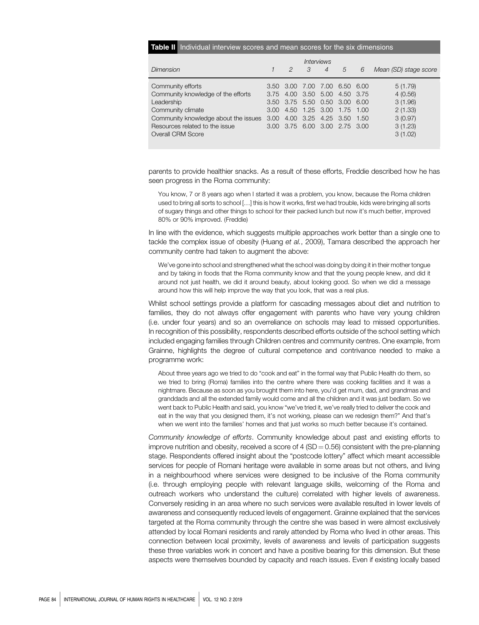#### Table II Individual interview scores and mean scores for the six dimensions

|                                      | <i><b>Interviews</b></i> |   |           |                               |   |        |                       |  |
|--------------------------------------|--------------------------|---|-----------|-------------------------------|---|--------|-----------------------|--|
| Dimension                            |                          | 2 | $\cdot$ 3 | $\overline{4}$                | 5 | 6      | Mean (SD) stage score |  |
| Community efforts                    |                          |   |           | 3.50 3.00 7.00 7.00 6.50 6.00 |   |        | 5(1.79)               |  |
| Community knowledge of the efforts   |                          |   |           | 3.75 4.00 3.50 5.00 4.50 3.75 |   |        | 4(0.56)               |  |
| Leadership                           |                          |   |           | 3.50 3.75 5.50 0.50 3.00 6.00 |   |        | 3(1.96)               |  |
| Community climate                    | 3.00                     |   |           | 4.50 1.25 3.00 1.75 1.00      |   |        | 2(1.33)               |  |
| Community knowledge about the issues | 3.00                     |   |           | 4.00 3.25 4.25 3.50           |   | - 1.50 | 3(0.97)               |  |
| Resources related to the issue       |                          |   |           | 3.00 3.75 6.00 3.00 2.75 3.00 |   |        | 3(1.23)               |  |
| Overall CRM Score                    |                          |   |           |                               |   |        | 3(1.02)               |  |

parents to provide healthier snacks. As a result of these efforts, Freddie described how he has seen progress in the Roma community:

You know, 7 or 8 years ago when I started it was a problem, you know, because the Roma children used to bring all sorts to school […] this is how it works, first we had trouble, kids were bringing all sorts of sugary things and other things to school for their packed lunch but now it's much better, improved 80% or 90% improved. (Freddie)

In line with the evidence, which suggests multiple approaches work better than a single one to tackle the complex issue of obesity (Huang *et al.*, 2009), Tamara described the approach her community centre had taken to augment the above:

We've gone into school and strengthened what the school was doing by doing it in their mother tongue and by taking in foods that the Roma community know and that the young people knew, and did it around not just health, we did it around beauty, about looking good. So when we did a message around how this will help improve the way that you look, that was a real plus.

Whilst school settings provide a platform for cascading messages about diet and nutrition to families, they do not always offer engagement with parents who have very young children (i.e. under four years) and so an overreliance on schools may lead to missed opportunities. In recognition of this possibility, respondents described efforts outside of the school setting which included engaging families through Children centres and community centres. One example, from Grainne, highlights the degree of cultural competence and contrivance needed to make a programme work:

About three years ago we tried to do "cook and eat" in the formal way that Public Health do them, so we tried to bring (Roma) families into the centre where there was cooking facilities and it was a nightmare. Because as soon as you brought them into here, you'd get mum, dad, and grandmas and granddads and all the extended family would come and all the children and it was just bedlam. So we went back to Public Health and said, you know "we've tried it, we've really tried to deliver the cook and eat in the way that you designed them, it's not working, please can we redesign them?" And that's when we went into the families' homes and that just works so much better because it's contained.

*Community knowledge of efforts*. Community knowledge about past and existing efforts to improve nutrition and obesity, received a score of 4 ( $SD = 0.56$ ) consistent with the pre-planning stage. Respondents offered insight about the "postcode lottery" affect which meant accessible services for people of Romani heritage were available in some areas but not others, and living in a neighbourhood where services were designed to be inclusive of the Roma community (i.e. through employing people with relevant language skills, welcoming of the Roma and outreach workers who understand the culture) correlated with higher levels of awareness. Conversely residing in an area where no such services were available resulted in lower levels of awareness and consequently reduced levels of engagement. Grainne explained that the services targeted at the Roma community through the centre she was based in were almost exclusively attended by local Romani residents and rarely attended by Roma who lived in other areas. This connection between local proximity, levels of awareness and levels of participation suggests these three variables work in concert and have a positive bearing for this dimension. But these aspects were themselves bounded by capacity and reach issues. Even if existing locally based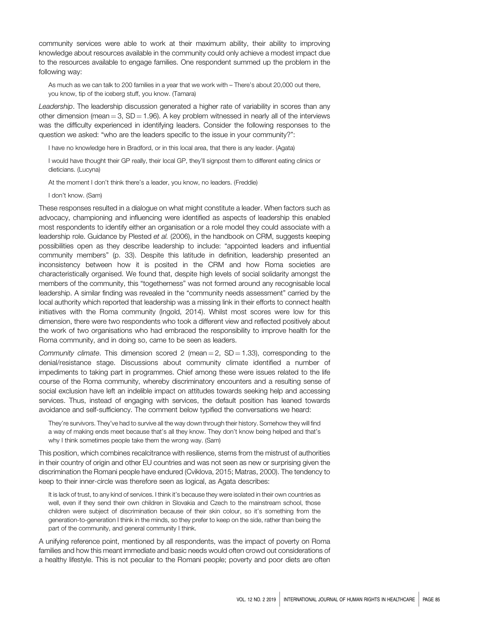community services were able to work at their maximum ability, their ability to improving knowledge about resources available in the community could only achieve a modest impact due to the resources available to engage families. One respondent summed up the problem in the following way:

As much as we can talk to 200 families in a year that we work with – There's about 20,000 out there, you know, tip of the iceberg stuff, you know. (Tamara)

*Leadership*. The leadership discussion generated a higher rate of variability in scores than any other dimension (mean  $=$  3, SD  $=$  1.96). A key problem witnessed in nearly all of the interviews was the difficulty experienced in identifying leaders. Consider the following responses to the question we asked: "who are the leaders specific to the issue in your community?":

I have no knowledge here in Bradford, or in this local area, that there is any leader. (Agata)

I would have thought their GP really, their local GP, they'll signpost them to different eating clinics or dieticians. (Lucyna)

At the moment I don't think there's a leader, you know, no leaders. (Freddie)

I don't know. (Sam)

These responses resulted in a dialogue on what might constitute a leader. When factors such as advocacy, championing and influencing were identified as aspects of leadership this enabled most respondents to identify either an organisation or a role model they could associate with a leadership role. Guidance by Plested *et al.* (2006), in the handbook on CRM, suggests keeping possibilities open as they describe leadership to include: "appointed leaders and influential community members" (p. 33). Despite this latitude in definition, leadership presented an inconsistency between how it is posited in the CRM and how Roma societies are characteristically organised. We found that, despite high levels of social solidarity amongst the members of the community, this "togetherness" was not formed around any recognisable local leadership. A similar finding was revealed in the "community needs assessment" carried by the local authority which reported that leadership was a missing link in their efforts to connect health initiatives with the Roma community (Ingold, 2014). Whilst most scores were low for this dimension, there were two respondents who took a different view and reflected positively about the work of two organisations who had embraced the responsibility to improve health for the Roma community, and in doing so, came to be seen as leaders.

*Community climate*. This dimension scored 2 (mean  $=$  2, SD  $=$  1.33), corresponding to the denial/resistance stage. Discussions about community climate identified a number of impediments to taking part in programmes. Chief among these were issues related to the life course of the Roma community, whereby discriminatory encounters and a resulting sense of social exclusion have left an indelible impact on attitudes towards seeking help and accessing services. Thus, instead of engaging with services, the default position has leaned towards avoidance and self-sufficiency. The comment below typified the conversations we heard:

They're survivors. They've had to survive all the way down through their history. Somehow they will find a way of making ends meet because that's all they know. They don't know being helped and that's why I think sometimes people take them the wrong way. (Sam)

This position, which combines recalcitrance with resilience, stems from the mistrust of authorities in their country of origin and other EU countries and was not seen as new or surprising given the discrimination the Romani people have endured (Cviklova, 2015; Matras, 2000). The tendency to keep to their inner-circle was therefore seen as logical, as Agata describes:

It is lack of trust, to any kind of services. I think it's because they were isolated in their own countries as well, even if they send their own children in Slovakia and Czech to the mainstream school, those children were subject of discrimination because of their skin colour, so it's something from the generation-to-generation I think in the minds, so they prefer to keep on the side, rather than being the part of the community, and general community I think.

A unifying reference point, mentioned by all respondents, was the impact of poverty on Roma families and how this meant immediate and basic needs would often crowd out considerations of a healthy lifestyle. This is not peculiar to the Romani people; poverty and poor diets are often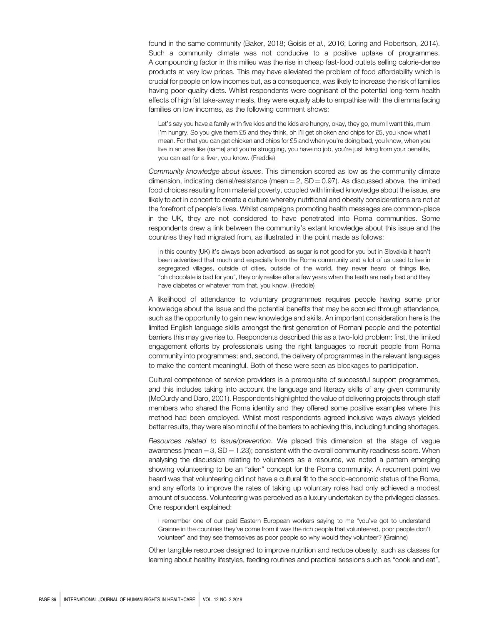found in the same community (Baker, 2018; Goisis *et al.*, 2016; Loring and Robertson, 2014). Such a community climate was not conducive to a positive uptake of programmes. A compounding factor in this milieu was the rise in cheap fast-food outlets selling calorie-dense products at very low prices. This may have alleviated the problem of food affordability which is crucial for people on low incomes but, as a consequence, was likely to increase the risk of families having poor-quality diets. Whilst respondents were cognisant of the potential long-term health effects of high fat take-away meals, they were equally able to empathise with the dilemma facing families on low incomes, as the following comment shows:

Let's say you have a family with five kids and the kids are hungry, okay, they go, mum I want this, mum I'm hungry. So you give them £5 and they think, oh I'll get chicken and chips for £5, you know what I mean. For that you can get chicken and chips for £5 and when you're doing bad, you know, when you live in an area like (name) and you're struggling, you have no job, you're just living from your benefits, you can eat for a fiver, you know. (Freddie)

*Community knowledge about issues*. This dimension scored as low as the community climate dimension, indicating denial/resistance (mean  $= 2$ , SD  $= 0.97$ ). As discussed above, the limited food choices resulting from material poverty, coupled with limited knowledge about the issue, are likely to act in concert to create a culture whereby nutritional and obesity considerations are not at the forefront of people's lives. Whilst campaigns promoting health messages are common-place in the UK, they are not considered to have penetrated into Roma communities. Some respondents drew a link between the community's extant knowledge about this issue and the countries they had migrated from, as illustrated in the point made as follows:

In this country (UK) it's always been advertised, as sugar is not good for you but in Slovakia it hasn't been advertised that much and especially from the Roma community and a lot of us used to live in segregated villages, outside of cities, outside of the world, they never heard of things like, "oh chocolate is bad for you", they only realise after a few years when the teeth are really bad and they have diabetes or whatever from that, you know. (Freddie)

A likelihood of attendance to voluntary programmes requires people having some prior knowledge about the issue and the potential benefits that may be accrued through attendance, such as the opportunity to gain new knowledge and skills. An important consideration here is the limited English language skills amongst the first generation of Romani people and the potential barriers this may give rise to. Respondents described this as a two-fold problem: first, the limited engagement efforts by professionals using the right languages to recruit people from Roma community into programmes; and, second, the delivery of programmes in the relevant languages to make the content meaningful. Both of these were seen as blockages to participation.

Cultural competence of service providers is a prerequisite of successful support programmes, and this includes taking into account the language and literacy skills of any given community (McCurdy and Daro, 2001). Respondents highlighted the value of delivering projects through staff members who shared the Roma identity and they offered some positive examples where this method had been employed. Whilst most respondents agreed inclusive ways always yielded better results, they were also mindful of the barriers to achieving this, including funding shortages.

*Resources related to issue/prevention*. We placed this dimension at the stage of vague awareness (mean  $=$  3, SD  $=$  1.23); consistent with the overall community readiness score. When analysing the discussion relating to volunteers as a resource, we noted a pattern emerging showing volunteering to be an "alien" concept for the Roma community. A recurrent point we heard was that volunteering did not have a cultural fit to the socio-economic status of the Roma, and any efforts to improve the rates of taking up voluntary roles had only achieved a modest amount of success. Volunteering was perceived as a luxury undertaken by the privileged classes. One respondent explained:

I remember one of our paid Eastern European workers saying to me "you've got to understand Grainne in the countries they've come from it was the rich people that volunteered, poor people don't volunteer" and they see themselves as poor people so why would they volunteer? (Grainne)

Other tangible resources designed to improve nutrition and reduce obesity, such as classes for learning about healthy lifestyles, feeding routines and practical sessions such as "cook and eat",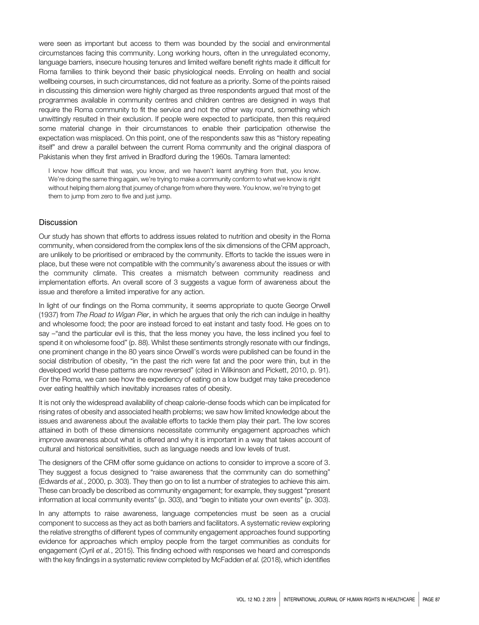were seen as important but access to them was bounded by the social and environmental circumstances facing this community. Long working hours, often in the unregulated economy, language barriers, insecure housing tenures and limited welfare benefit rights made it difficult for Roma families to think beyond their basic physiological needs. Enroling on health and social wellbeing courses, in such circumstances, did not feature as a priority. Some of the points raised in discussing this dimension were highly charged as three respondents argued that most of the programmes available in community centres and children centres are designed in ways that require the Roma community to fit the service and not the other way round, something which unwittingly resulted in their exclusion. If people were expected to participate, then this required some material change in their circumstances to enable their participation otherwise the expectation was misplaced. On this point, one of the respondents saw this as "history repeating itself" and drew a parallel between the current Roma community and the original diaspora of Pakistanis when they first arrived in Bradford during the 1960s. Tamara lamented:

I know how difficult that was, you know, and we haven't learnt anything from that, you know. We're doing the same thing again, we're trying to make a community conform to what we know is right without helping them along that journey of change from where they were. You know, we're trying to get them to jump from zero to five and just jump.

# Discussion

Our study has shown that efforts to address issues related to nutrition and obesity in the Roma community, when considered from the complex lens of the six dimensions of the CRM approach, are unlikely to be prioritised or embraced by the community. Efforts to tackle the issues were in place, but these were not compatible with the community's awareness about the issues or with the community climate. This creates a mismatch between community readiness and implementation efforts. An overall score of 3 suggests a vague form of awareness about the issue and therefore a limited imperative for any action.

In light of our findings on the Roma community, it seems appropriate to quote George Orwell (1937) from *The Road to Wigan Pier*, in which he argues that only the rich can indulge in healthy and wholesome food; the poor are instead forced to eat instant and tasty food. He goes on to say –"and the particular evil is this, that the less money you have, the less inclined you feel to spend it on wholesome food" (p. 88). Whilst these sentiments strongly resonate with our findings, one prominent change in the 80 years since Orwell's words were published can be found in the social distribution of obesity, "in the past the rich were fat and the poor were thin, but in the developed world these patterns are now reversed" (cited in Wilkinson and Pickett, 2010, p. 91). For the Roma, we can see how the expediency of eating on a low budget may take precedence over eating healthily which inevitably increases rates of obesity.

It is not only the widespread availability of cheap calorie-dense foods which can be implicated for rising rates of obesity and associated health problems; we saw how limited knowledge about the issues and awareness about the available efforts to tackle them play their part. The low scores attained in both of these dimensions necessitate community engagement approaches which improve awareness about what is offered and why it is important in a way that takes account of cultural and historical sensitivities, such as language needs and low levels of trust.

The designers of the CRM offer some guidance on actions to consider to improve a score of 3. They suggest a focus designed to "raise awareness that the community can do something" (Edwards *et al.*, 2000, p. 303). They then go on to list a number of strategies to achieve this aim. These can broadly be described as community engagement; for example, they suggest "present information at local community events" (p. 303), and "begin to initiate your own events" (p. 303).

In any attempts to raise awareness, language competencies must be seen as a crucial component to success as they act as both barriers and facilitators. A systematic review exploring the relative strengths of different types of community engagement approaches found supporting evidence for approaches which employ people from the target communities as conduits for engagement (Cyril *et al.*, 2015). This finding echoed with responses we heard and corresponds with the key findings in a systematic review completed by McFadden *et al.* (2018), which identifies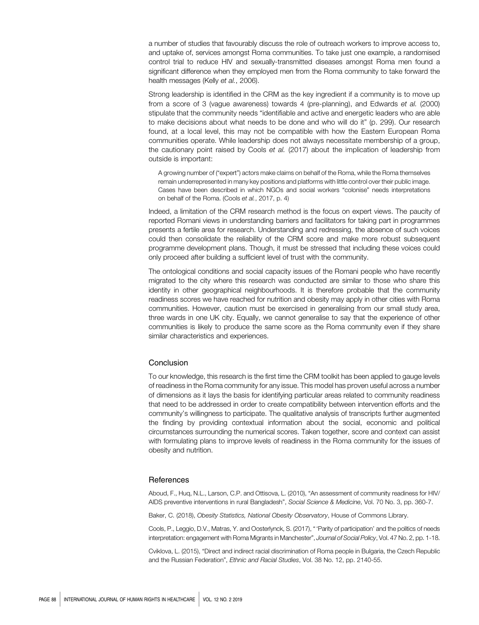a number of studies that favourably discuss the role of outreach workers to improve access to, and uptake of, services amongst Roma communities. To take just one example, a randomised control trial to reduce HIV and sexually-transmitted diseases amongst Roma men found a significant difference when they employed men from the Roma community to take forward the health messages (Kelly *et al.*, 2006).

Strong leadership is identified in the CRM as the key ingredient if a community is to move up from a score of 3 (vague awareness) towards 4 (pre-planning), and Edwards *et al.* (2000) stipulate that the community needs "identifiable and active and energetic leaders who are able to make decisions about what needs to be done and who will do it" (p. 299). Our research found, at a local level, this may not be compatible with how the Eastern European Roma communities operate. While leadership does not always necessitate membership of a group, the cautionary point raised by Cools *et al.* (2017) about the implication of leadership from outside is important:

A growing number of ("expert") actors make claims on behalf of the Roma, while the Roma themselves remain underrepresented in many key positions and platforms with little control over their public image. Cases have been described in which NGOs and social workers "colonise" needs interpretations on behalf of the Roma. (Cools *et al.*, 2017, p. 4)

Indeed, a limitation of the CRM research method is the focus on expert views. The paucity of reported Romani views in understanding barriers and facilitators for taking part in programmes presents a fertile area for research. Understanding and redressing, the absence of such voices could then consolidate the reliability of the CRM score and make more robust subsequent programme development plans. Though, it must be stressed that including these voices could only proceed after building a sufficient level of trust with the community.

The ontological conditions and social capacity issues of the Romani people who have recently migrated to the city where this research was conducted are similar to those who share this identity in other geographical neighbourhoods. It is therefore probable that the community readiness scores we have reached for nutrition and obesity may apply in other cities with Roma communities. However, caution must be exercised in generalising from our small study area, three wards in one UK city. Equally, we cannot generalise to say that the experience of other communities is likely to produce the same score as the Roma community even if they share similar characteristics and experiences.

# Conclusion

To our knowledge, this research is the first time the CRM toolkit has been applied to gauge levels of readiness in the Roma community for any issue. This model has proven useful across a number of dimensions as it lays the basis for identifying particular areas related to community readiness that need to be addressed in order to create compatibility between intervention efforts and the community's willingness to participate. The qualitative analysis of transcripts further augmented the finding by providing contextual information about the social, economic and political circumstances surrounding the numerical scores. Taken together, score and context can assist with formulating plans to improve levels of readiness in the Roma community for the issues of obesity and nutrition.

# **References**

Aboud, F., Huq, N.L., Larson, C.P. and Ottisova, L. (2010), "An assessment of community readiness for HIV/ AIDS preventive interventions in rural Bangladesh", *Social Science & Medicine*, Vol. 70 No. 3, pp. 360-7.

Baker, C. (2018), *Obesity Statistics, National Obesity Observatory*, House of Commons Library.

Cools, P., Leggio, D.V., Matras, Y. and Oosterlynck, S. (2017), " 'Parity of participation' and the politics of needs interpretation: engagement with Roma Migrants in Manchester", *Journal of Social Policy*, Vol. 47 No. 2, pp. 1-18.

Cviklova, L. (2015), "Direct and indirect racial discrimination of Roma people in Bulgaria, the Czech Republic and the Russian Federation", *Ethnic and Racial Studies*, Vol. 38 No. 12, pp. 2140-55.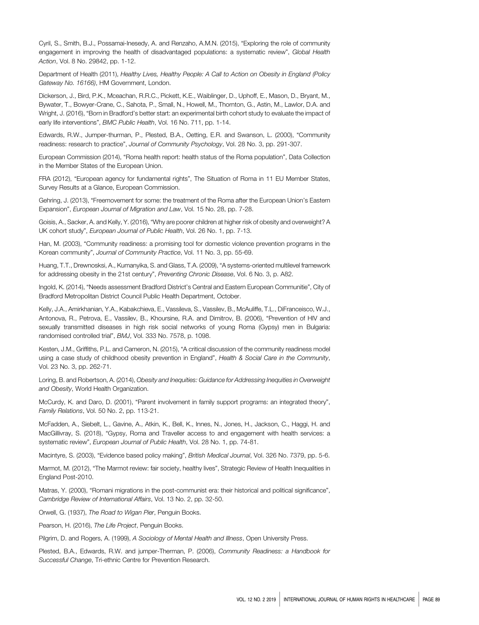Cyril, S., Smith, B.J., Possamai-Inesedy, A. and Renzaho, A.M.N. (2015), "Exploring the role of community engagement in improving the health of disadvantaged populations: a systematic review", *Global Health Action*, Vol. 8 No. 29842, pp. 1-12.

Department of Health (2011), *Healthy Lives, Healthy People: A Call to Action on Obesity in England (Policy Gateway No. 16166)*, HM Government, London.

Dickerson, J., Bird, P.K., Mceachan, R.R.C., Pickett, K.E., Waiblinger, D., Uphoff, E., Mason, D., Bryant, M., Bywater, T., Bowyer-Crane, C., Sahota, P., Small, N., Howell, M., Thornton, G., Astin, M., Lawlor, D.A. and Wright, J. (2016), "Born in Bradford's better start: an experimental birth cohort study to evaluate the impact of early life interventions", *BMC Public Health*, Vol. 16 No. 711, pp. 1-14.

Edwards, R.W., Jumper-thurman, P., Plested, B.A., Oetting, E.R. and Swanson, L. (2000), "Community readiness: research to practice", *Journal of Community Psychology*, Vol. 28 No. 3, pp. 291-307.

European Commission (2014), "Roma health report: health status of the Roma population", Data Collection in the Member States of the European Union.

FRA (2012), "European agency for fundamental rights", The Situation of Roma in 11 EU Member States, Survey Results at a Glance, European Commission.

Gehring, J. (2013), "Freemovement for some: the treatment of the Roma after the European Union's Eastern Expansion", *European Journal of Migration and Law*, Vol. 15 No. 28, pp. 7-28.

Goisis, A., Sacker, A. and Kelly, Y. (2016), "Why are poorer children at higher risk of obesity and overweight? A UK cohort study", *European Journal of Public Health*, Vol. 26 No. 1, pp. 7-13.

Han, M. (2003), "Community readiness: a promising tool for domestic violence prevention programs in the Korean community", *Journal of Community Practice*, Vol. 11 No. 3, pp. 55-69.

Huang, T.T., Drewnosksi, A., Kumanyika, S. and Glass, T.A. (2009), "A systems-oriented multilevel framework for addressing obesity in the 21st century", *Preventing Chronic Disease*, Vol. 6 No. 3, p. A82.

Ingold, K. (2014), "Needs assessment Bradford District's Central and Eastern European Communitie", City of Bradford Metropolitan District Council Public Health Department, October.

Kelly, J.A., Amirkhanian, Y.A., Kabakchieva, E., Vassileva, S., Vassilev, B., McAuliffe, T.L., DiFranceisco, W.J., Antonova, R., Petrova, E., Vassilev, B., Khoursine, R.A. and Dimitrov, B. (2006), "Prevention of HIV and sexually transmitted diseases in high risk social networks of young Roma (Gypsy) men in Bulgaria: randomised controlled trial", *BMJ*, Vol. 333 No. 7578, p. 1098.

Kesten, J.M., Griffiths, P.L. and Cameron, N. (2015), "A critical discussion of the community readiness model using a case study of childhood obesity prevention in England", *Health & Social Care in the Community*, Vol. 23 No. 3, pp. 262-71.

Loring, B. and Robertson, A. (2014), *Obesity and Inequities: Guidance for Addressing Inequities in Overweight and Obesity*, World Health Organization.

McCurdy, K. and Daro, D. (2001), "Parent involvement in family support programs: an integrated theory", *Family Relations*, Vol. 50 No. 2, pp. 113-21.

McFadden, A., Siebelt, L., Gavine, A., Atkin, K., Bell, K., Innes, N., Jones, H., Jackson, C., Haggi, H. and MacGillivray, S. (2018), "Gypsy, Roma and Traveller access to and engagement with health services: a systematic review", *European Journal of Public Health*, Vol. 28 No. 1, pp. 74-81.

Macintyre, S. (2003), "Evidence based policy making", *British Medical Journal*, Vol. 326 No. 7379, pp. 5-6.

Marmot, M. (2012), "The Marmot review: fair society, healthy lives", Strategic Review of Health Inequalities in England Post-2010.

Matras, Y. (2000), "Romani migrations in the post-communist era: their historical and political significance", *Cambridge Review of International Affairs*, Vol. 13 No. 2, pp. 32-50.

Orwell, G. (1937), *The Road to Wigan Pier*, Penguin Books.

Pearson, H. (2016), *The Life Project*, Penguin Books.

Pilgrim, D. and Rogers, A. (1999), *A Sociology of Mental Health and Illness*, Open University Press.

Plested, B.A., Edwards, R.W. and jumper-Therman, P. (2006), *Community Readiness: a Handbook for Successful Change*, Tri-ethnic Centre for Prevention Research.